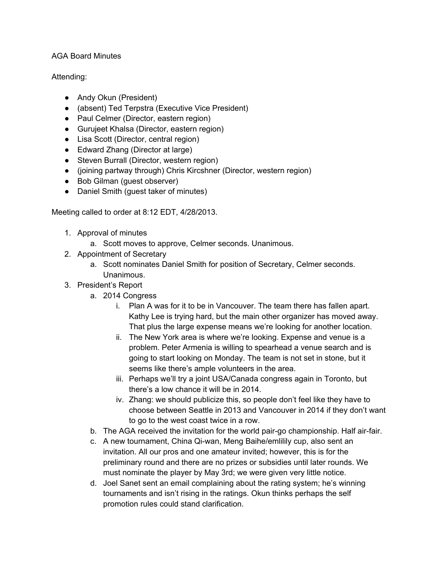## AGA Board Minutes

## Attending:

- Andy Okun (President)
- (absent) Ted Terpstra (Executive Vice President)
- Paul Celmer (Director, eastern region)
- Gurujeet Khalsa (Director, eastern region)
- Lisa Scott (Director, central region)
- Edward Zhang (Director at large)
- Steven Burrall (Director, western region)
- (joining partway through) Chris Kircshner (Director, western region)
- Bob Gilman (guest observer)
- Daniel Smith (guest taker of minutes)

Meeting called to order at 8:12 EDT, 4/28/2013.

- 1. Approval of minutes
	- a. Scott moves to approve, Celmer seconds. Unanimous.
- 2. Appointment of Secretary
	- a. Scott nominates Daniel Smith for position of Secretary, Celmer seconds. Unanimous.
- 3. President's Report
	- a. 2014 Congress
		- i. Plan A was for it to be in Vancouver. The team there has fallen apart. Kathy Lee is trying hard, but the main other organizer has moved away. That plus the large expense means we're looking for another location.
		- ii. The New York area is where we're looking. Expense and venue is a problem. Peter Armenia is willing to spearhead a venue search and is going to start looking on Monday. The team is not set in stone, but it seems like there's ample volunteers in the area.
		- iii. Perhaps we'll try a joint USA/Canada congress again in Toronto, but there's a low chance it will be in 2014.
		- iv. Zhang: we should publicize this, so people don't feel like they have to choose between Seattle in 2013 and Vancouver in 2014 if they don't want to go to the west coast twice in a row.
	- b. The AGA received the invitation for the world pair-go championship. Half air-fair.
	- c. A new tournament, China Qi-wan, Meng Baihe/emlilily cup, also sent an invitation. All our pros and one amateur invited; however, this is for the preliminary round and there are no prizes or subsidies until later rounds. We must nominate the player by May 3rd; we were given very little notice.
	- d. Joel Sanet sent an email complaining about the rating system; he's winning tournaments and isn't rising in the ratings. Okun thinks perhaps the self promotion rules could stand clarification.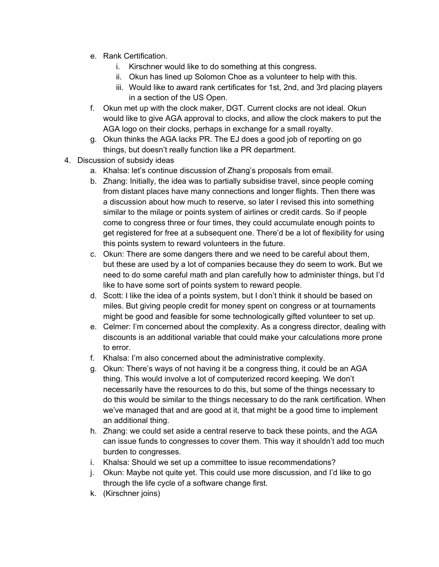- e. Rank Certification.
	- i. Kirschner would like to do something at this congress.
	- ii. Okun has lined up Solomon Choe as a volunteer to help with this.
	- iii. Would like to award rank certificates for 1st, 2nd, and 3rd placing players in a section of the US Open.
- f. Okun met up with the clock maker, DGT. Current clocks are not ideal. Okun would like to give AGA approval to clocks, and allow the clock makers to put the AGA logo on their clocks, perhaps in exchange for a small royalty.
- g. Okun thinks the AGA lacks PR. The EJ does a good job of reporting on go things, but doesn't really function like a PR department.
- 4. Discussion of subsidy ideas
	- a. Khalsa: let's continue discussion of Zhang's proposals from email.
	- b. Zhang: Initially, the idea was to partially subsidise travel, since people coming from distant places have many connections and longer flights. Then there was a discussion about how much to reserve, so later I revised this into something similar to the milage or points system of airlines or credit cards. So if people come to congress three or four times, they could accumulate enough points to get registered for free at a subsequent one. There'd be a lot of flexibility for using this points system to reward volunteers in the future.
	- c. Okun: There are some dangers there and we need to be careful about them, but these are used by a lot of companies because they do seem to work. But we need to do some careful math and plan carefully how to administer things, but I'd like to have some sort of points system to reward people.
	- d. Scott: I like the idea of a points system, but I don't think it should be based on miles. But giving people credit for money spent on congress or at tournaments might be good and feasible for some technologically gifted volunteer to set up.
	- e. Celmer: I'm concerned about the complexity. As a congress director, dealing with discounts is an additional variable that could make your calculations more prone to error.
	- f. Khalsa: I'm also concerned about the administrative complexity.
	- g. Okun: There's ways of not having it be a congress thing, it could be an AGA thing. This would involve a lot of computerized record keeping. We don't necessarily have the resources to do this, but some of the things necessary to do this would be similar to the things necessary to do the rank certification. When we've managed that and are good at it, that might be a good time to implement an additional thing.
	- h. Zhang: we could set aside a central reserve to back these points, and the AGA can issue funds to congresses to cover them. This way it shouldn't add too much burden to congresses.
	- i. Khalsa: Should we set up a committee to issue recommendations?
	- j. Okun: Maybe not quite yet. This could use more discussion, and I'd like to go through the life cycle of a software change first.
	- k. (Kirschner joins)